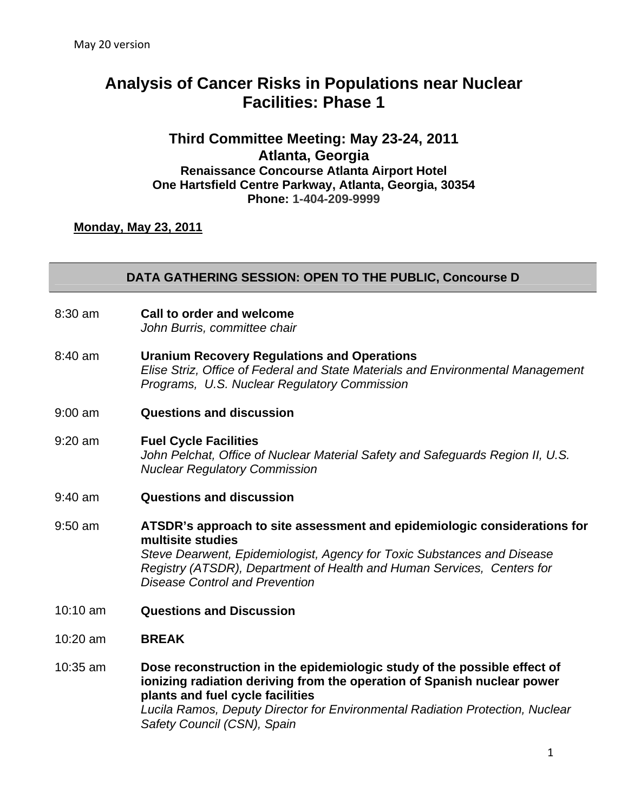# **Analysis of Cancer Risks in Populations near Nuclear Facilities: Phase 1**

### **Third Committee Meeting: May 23-24, 2011 Atlanta, Georgia Renaissance Concourse Atlanta Airport Hotel One Hartsfield Centre Parkway, Atlanta, Georgia, 30354 Phone: 1-404-209-9999**

**Monday, May 23, 2011**

#### **DATA GATHERING SESSION: OPEN TO THE PUBLIC, Concourse D**

- 8:30 am **Call to order and welcome**  *John Burris, committee chair*
- 8:40 am **Uranium Recovery Regulations and Operations**  *Elise Striz, Office of Federal and State Materials and Environmental Management Programs, U.S. Nuclear Regulatory Commission*
- 9:00 am **Questions and discussion**
- 9:20 am **Fuel Cycle Facilities** *John Pelchat, Office of Nuclear Material Safety and Safeguards Region I I, U.S. Nuclear Regulatory Commission*
- 9:40 am **Questions and discussion**
- 9:50 am **ATSDR's approach to site assessment and epidemiologic considerations for multisite studies** *Steve Dearwent, Epidemiologist, Agency for Toxic Substances and Disease Registry (ATSDR), Department of Health and Human Services, Centers for Disease Control and Prevention*
- 10:10 am **Questions and Discussion**
- 10:20 am **BREAK**
- 10:35 am **Dose reconstruction in the epidemiologic study of the possible effect of ionizing radiation deriving from the operation of Spanish nuclear power plants and fuel cycle facilities**  *Lucila Ramos, Deputy Director for Environmental Radiation Protection, Nuclear Safety Council (CSN), Spain*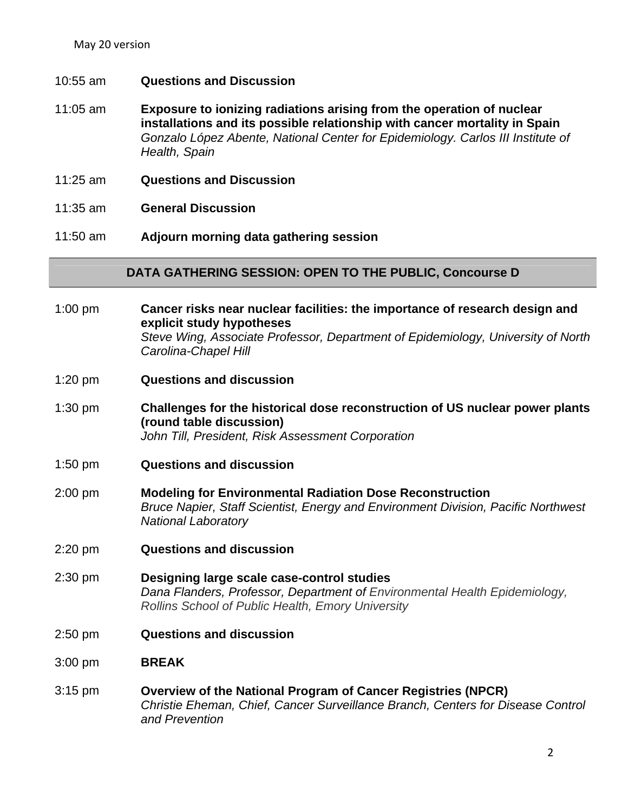May 20 version

- 10:55 am **Questions and Discussion**
- 11:05 am **Exposure to ionizing radiations arising from the operation of nuclear installations and its possible relationship with cancer mortality in Spain**  *Gonzalo López Abente, National Center for Epidemiology. Carlos III Institute of Health, Spain*
- 11:25 am **Questions and Discussion**
- 11:35 am **General Discussion**
- 11:50 am **Adjourn morning data gathering session**

#### **DATA GATHERING SESSION: OPEN TO THE PUBLIC, Concourse D**

- 1:00 pm **Cancer risks near nuclear facilities: the importance of research design and explicit study hypotheses**  *Steve Wing, Associate Professor, Department of Epidemiology, University of North Carolina-Chapel Hill*
- 1:20 pm **Questions and discussion**
- 1:30 pm **Challenges for the historical dose reconstruction of US nuclear power plants (round table discussion)**  *John Till, President, Risk Assessment Corporation*
- 1:50 pm **Questions and discussion**
- 2:00 pm **Modeling for Environmental Radiation Dose Reconstruction**  *Bruce Napier, Staff Scientist, Energy and Environment Division, Pacific Northwest National Laboratory*
- 2:20 pm **Questions and discussion**
- 2:30 pm **Designing large scale case-control studies**  *Dana Flanders, Professor, Department of Environmental Health Epidemiology, Rollins School of Public Health, Emory University*
- 2:50 pm **Questions and discussion**
- 3:00 pm **BREAK**
- 3:15 pm **Overview of the National Program of Cancer Registries (NPCR)** *Christie Eheman, Chief, Cancer Surveillance Branch, Centers for Disease Control and Prevention*